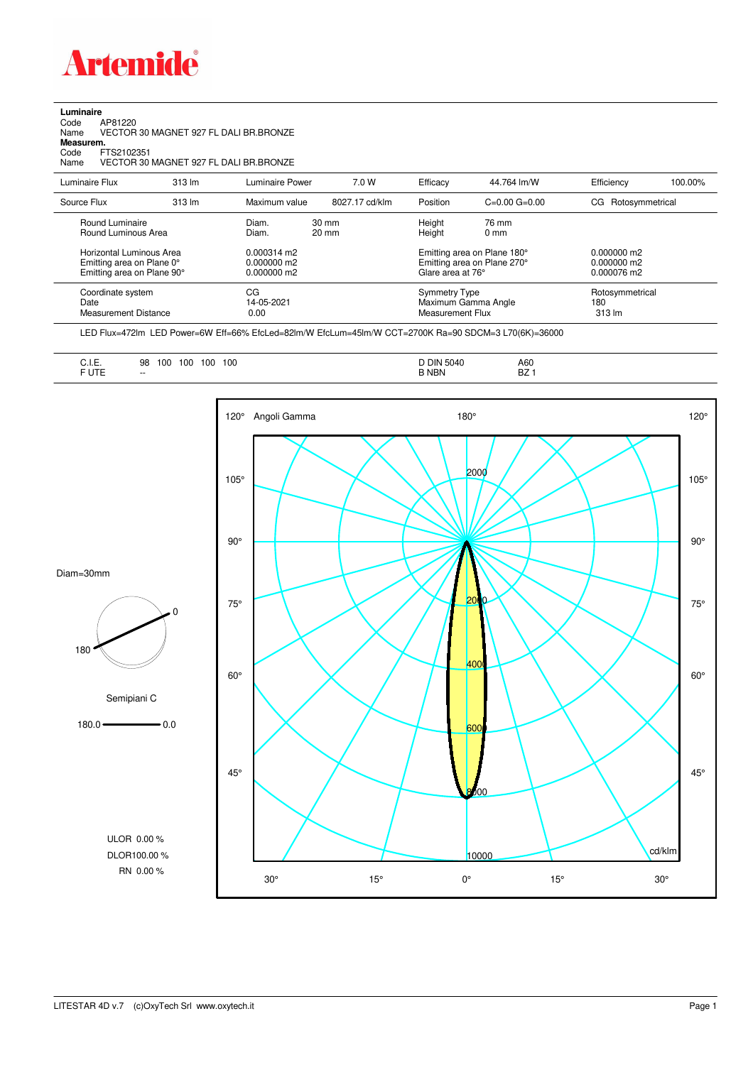

**Luminaire**<br>Code<br>Name Code AP81220 Name VECTOR 30 MAGNET 927 FL DALI BR.BRONZE

**Measurem.**

Code FTS2102351 Name VECTOR 30 MAGNET 927 FL DALI BR.BRONZE

| Luminaire Flux                                                                      | $313 \text{ lm}$ | Luminaire Power                               | 7.0 W                              | Efficacy                                 | 44.764 lm/W                                                | Efficiency                                    | 100.00% |
|-------------------------------------------------------------------------------------|------------------|-----------------------------------------------|------------------------------------|------------------------------------------|------------------------------------------------------------|-----------------------------------------------|---------|
|                                                                                     |                  |                                               |                                    |                                          |                                                            |                                               |         |
| Source Flux                                                                         | $313 \text{ lm}$ | Maximum value                                 | 8027.17 cd/klm                     | Position                                 | $C=0.00$ $G=0.00$                                          | CG Rotosymmetrical                            |         |
| Round Luminaire<br>Round Luminous Area                                              |                  | Diam.<br>Diam.                                | $30 \text{ mm}$<br>$20 \text{ mm}$ |                                          | 76 mm<br>$0 \text{ mm}$                                    |                                               |         |
| Horizontal Luminous Area<br>Emitting area on Plane 0°<br>Emitting area on Plane 90° |                  | 0.000314 m2<br>$0.000000$ m2<br>$0.000000$ m2 |                                    | Height<br>Glare area at 76°              | Emitting area on Plane 180°<br>Emitting area on Plane 270° | $0.000000$ m2<br>$0.000000$ m2<br>0.000076 m2 |         |
| Coordinate system<br>Date<br><b>Measurement Distance</b>                            |                  | CG<br>14-05-2021<br>0.00                      |                                    | <b>Symmetry Type</b><br>Measurement Flux | Maximum Gamma Angle                                        | Rotosymmetrical<br>180<br>$313 \text{ Im}$    |         |

LED Flux=472lm LED Power=6W Eff=66% EfcLed=82lm/W EfcLum=45lm/W CCT=2700K Ra=90 SDCM=3 L70(6K)=36000